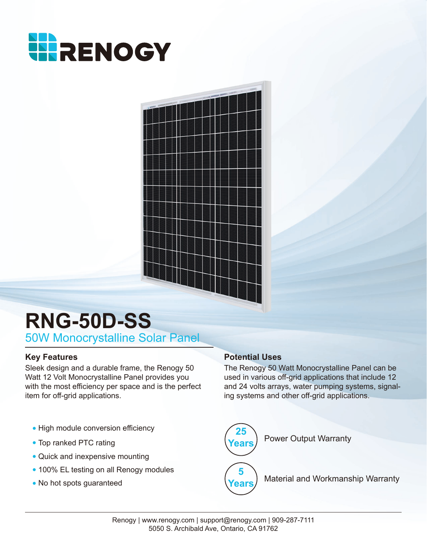



# **RNG-50D-SS** 50W Monocrystalline Solar Panel

Sleek design and a durable frame, the Renogy 50 Watt 12 Volt Monocrystalline Panel provides you with the most efficiency per space and is the perfect item for off-grid applications.

- High module conversion efficiency
- Top ranked PTC rating
- Quick and inexpensive mounting
- 100% EL testing on all Renogy modules
- No hot spots guaranteed

### **Key Features Potential Uses**

The Renogy 50 Watt Monocrystalline Panel can be used in various off-grid applications that include 12 and 24 volts arrays, water pumping systems, signaling systems and other off-grid applications.